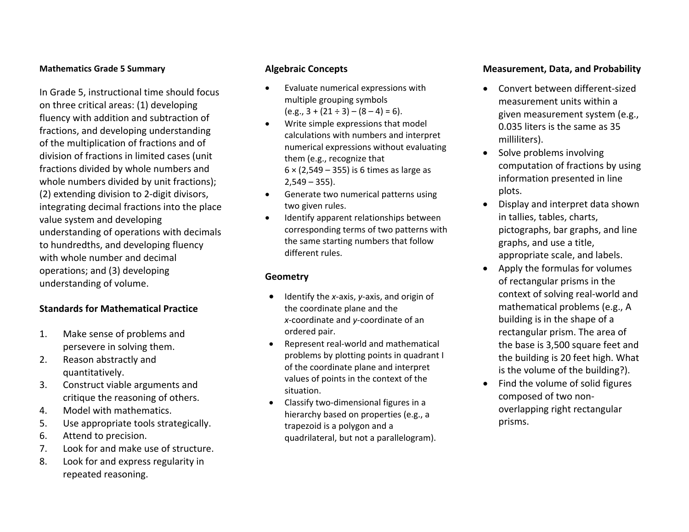#### **Mathematics Grade 5 Summary**

In Grade 5, instructional time should focus on three critical areas: (1) developing fluency with addition and subtraction of fractions, and developing understanding of the multiplication of fractions and of division of fractions in limited cases (unit fractions divided by whole numbers and whole numbers divided by unit fractions); (2) extending division to 2‐digit divisors, integrating decimal fractions into the place value system and developing understanding of operations with decimals to hundredths, and developing fluency with whole number and decimal operations; and (3) developing understanding of volume.

### **Standards for Mathematical Practice**

- 1. Make sense of problems and persevere in solving them.
- 2. Reason abstractly and quantitatively.
- 3. Construct viable arguments and critique the reasoning of others.
- 4.Model with mathematics.
- 5.Use appropriate tools strategically.
- 6.Attend to precision.
- 7.Look for and make use of structure.
- 8. Look for and express regularity in repeated reasoning.

#### **Algebraic Concepts**

- 0 Evaluate numerical expressions with multiple grouping symbols (e.g., 3 <sup>+</sup> (21 ÷ 3) – (8 – 4) <sup>=</sup> 6).
- . Write simple expressions that model calculations with numbers and interpret numerical expressions without evaluating them (e.g., recognize that 6 <sup>×</sup> (2,549 – 355) is 6 times as large as 2,549 – 355).
- 0 **•** Generate two numerical patterns using two given rules.
- . Identify apparent relationships between corresponding terms of two patterns with the same starting numbers that follow different rules.

### **Geometry**

- Identify the *x*-axis, *y*-axis, and origin of the coordinate plane and the *<sup>x</sup>*‐coordinate and *y*‐coordinate of an ordered pair.
- Represent real-world and mathematical problems by plotting points in quadrant I of the coordinate plane and interpret values of points in the context of the situation.
- $\bullet$  Classify two‐dimensional figures in <sup>a</sup> hierarchy based on properties (e.g., <sup>a</sup> trapezoid is <sup>a</sup> polygon and <sup>a</sup> quadrilateral, but not <sup>a</sup> parallelogram).

### **Measurement, Data, and Probability**

- . ● Convert between different-sized measurement units within a given measurement system (e.g., 0.035 liters is the same as 35 milliliters).
- $\bullet$ • Solve problems involving computation of fractions by using information presented in line plots.
- $\bullet$  Display and interpret data shown in tallies, tables, charts, pictographs, bar graphs, and line graphs, and use <sup>a</sup> title, appropriate scale, and labels.
- Apply the formulas for volumes of rectangular prisms in the context of solving real‐world and mathematical problems (e.g., A building is in the shape of <sup>a</sup> rectangular prism. The area of the base is 3,500 square feet and the building is 20 feet high. What is the volume of the building?).
- $\bullet$ • Find the volume of solid figures composed of two non‐ overlapping right rectangular prisms.